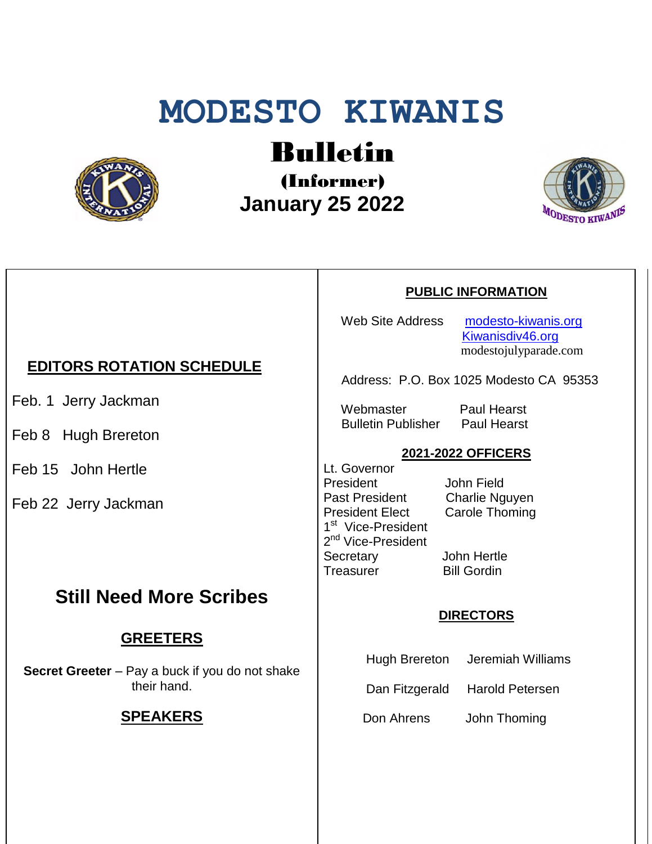# **MODESTO KIWANIS**



Bulletin

(Informer)  **January 25 2022**



#### **PUBLIC INFORMATION**

Web Site Address [modesto-kiwanis.org](http://modesto-kiwanis.org/) [Kiwanisdiv46.org](http://www.kiwanisdiv46.org/) modestojulyparade.com

Address: P.O. Box 1025 Modesto CA 95353

Webmaster Paul Hearst Bulletin Publisher Paul Hearst

#### **2021-2022 OFFICERS**

Lt. Governor President John Field Past President Charlie Nguyen President Elect Carole Thoming 1<sup>st</sup> Vice-President 2<sup>nd</sup> Vice-President Secretary John Hertle Treasurer Bill Gordin

#### **DIRECTORS**

Hugh Brereton Jeremiah Williams

Dan Fitzgerald Harold Petersen

Don Ahrens John Thoming

## **EDITORS ROTATION SCHEDULE**

Feb. 1 Jerry Jackman

Feb 8 Hugh Brereton

Feb 15 John Hertle

Feb 22 Jerry Jackman

# **Still Need More Scribes**

### **GREETERS**

**Secret Greeter** – Pay a buck if you do not shake their hand.

### **SPEAKERS**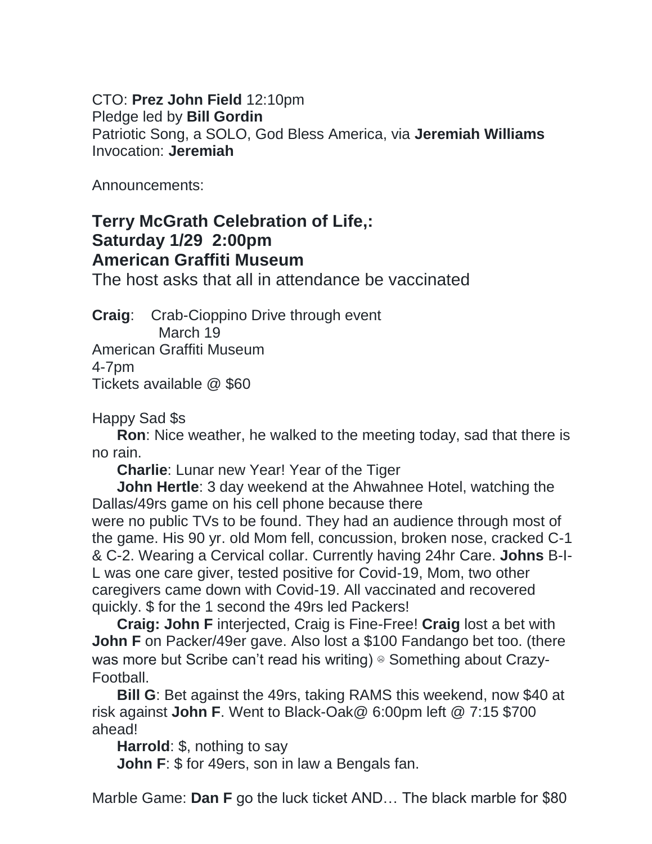#### CTO: **Prez John Field** 12:10pm Pledge led by **Bill Gordin** Patriotic Song, a SOLO, God Bless America, via **Jeremiah Williams** Invocation: **Jeremiah**

Announcements:

# **Terry McGrath Celebration of Life,: Saturday 1/29 2:00pm American Graffiti Museum**

The host asks that all in attendance be vaccinated

**Craig**: Crab-Cioppino Drive through event

 March 19 American Graffiti Museum 4-7pm Tickets available @ \$60

Happy Sad \$s

 **Ron**: Nice weather, he walked to the meeting today, sad that there is no rain.

**Charlie**: Lunar new Year! Year of the Tiger

 **John Hertle**: 3 day weekend at the Ahwahnee Hotel, watching the Dallas/49rs game on his cell phone because there

were no public TVs to be found. They had an audience through most of the game. His 90 yr. old Mom fell, concussion, broken nose, cracked C-1 & C-2. Wearing a Cervical collar. Currently having 24hr Care. **Johns** B-I-L was one care giver, tested positive for Covid-19, Mom, two other caregivers came down with Covid-19. All vaccinated and recovered quickly. \$ for the 1 second the 49rs led Packers!

 **Craig: John F** interjected, Craig is Fine-Free! **Craig** lost a bet with **John F** on Packer/49er gave. Also lost a \$100 Fandango bet too. (there was more but Scribe can't read his writing) <sup>
■</sup> Something about Crazy-Football.

 **Bill G**: Bet against the 49rs, taking RAMS this weekend, now \$40 at risk against **John F**. Went to Black-Oak@ 6:00pm left @ 7:15 \$700 ahead!

 **Harrold**: \$, nothing to say

**John F**: \$ for 49ers, son in law a Bengals fan.

Marble Game: **Dan F** go the luck ticket AND… The black marble for \$80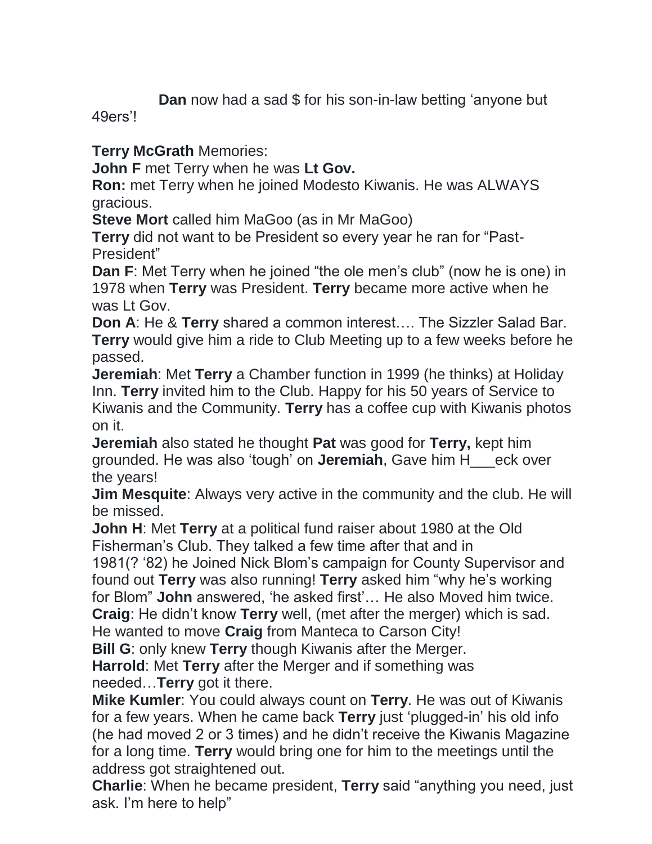**Dan** now had a sad \$ for his son-in-law betting 'anyone but

49ers'!

**Terry McGrath** Memories:

**John F** met Terry when he was **Lt Gov.**

**Ron:** met Terry when he joined Modesto Kiwanis. He was ALWAYS gracious.

**Steve Mort** called him MaGoo (as in Mr MaGoo)

**Terry** did not want to be President so every year he ran for "Past-President"

**Dan F**: Met Terry when he joined "the ole men's club" (now he is one) in 1978 when **Terry** was President. **Terry** became more active when he was Lt Gov.

**Don A**: He & **Terry** shared a common interest…. The Sizzler Salad Bar. **Terry** would give him a ride to Club Meeting up to a few weeks before he passed.

**Jeremiah**: Met **Terry** a Chamber function in 1999 (he thinks) at Holiday Inn. **Terry** invited him to the Club. Happy for his 50 years of Service to Kiwanis and the Community. **Terry** has a coffee cup with Kiwanis photos on it.

**Jeremiah** also stated he thought **Pat** was good for **Terry,** kept him grounded. He was also 'tough' on **Jeremiah**, Gave him H\_\_\_eck over the years!

**Jim Mesquite**: Always very active in the community and the club. He will be missed.

**John H**: Met **Terry** at a political fund raiser about 1980 at the Old Fisherman's Club. They talked a few time after that and in

1981(? '82) he Joined Nick Blom's campaign for County Supervisor and found out **Terry** was also running! **Terry** asked him "why he's working for Blom" **John** answered, 'he asked first'… He also Moved him twice.

**Craig**: He didn't know **Terry** well, (met after the merger) which is sad.

He wanted to move **Craig** from Manteca to Carson City!

**Bill G**: only knew **Terry** though Kiwanis after the Merger.

**Harrold**: Met **Terry** after the Merger and if something was needed…**Terry** got it there.

**Mike Kumler**: You could always count on **Terry**. He was out of Kiwanis for a few years. When he came back **Terry** just 'plugged-in' his old info (he had moved 2 or 3 times) and he didn't receive the Kiwanis Magazine for a long time. **Terry** would bring one for him to the meetings until the address got straightened out.

**Charlie**: When he became president, **Terry** said "anything you need, just ask. I'm here to help"